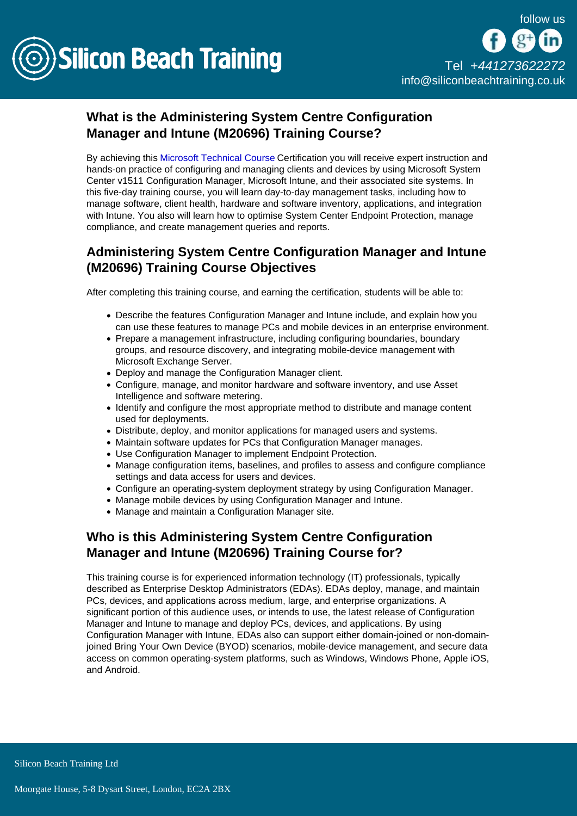

# What is the Administering System Centre Configuration Manager and Intune (M20696) Training Course?

By achieving this [Microsoft Technical Course](/microsoft-certifications) Certification you will receive expert instruction and hands-on practice of configuring and managing clients and devices by using Microsoft System Center v1511 Configuration Manager, Microsoft Intune, and their associated site systems. In this five-day training course, you will learn day-to-day management tasks, including how to manage software, client health, hardware and software inventory, applications, and integration with Intune. You also will learn how to optimise System Center Endpoint Protection, manage compliance, and create management queries and reports.

## Administering System Centre Configuration Manager and Intune (M20696) Training Course Objectives

After completing this training course, and earning the certification, students will be able to:

- Describe the features Configuration Manager and Intune include, and explain how you can use these features to manage PCs and mobile devices in an enterprise environment.
- Prepare a management infrastructure, including configuring boundaries, boundary groups, and resource discovery, and integrating mobile-device management with Microsoft Exchange Server.
- Deploy and manage the Configuration Manager client.
- Configure, manage, and monitor hardware and software inventory, and use Asset Intelligence and software metering.
- Identify and configure the most appropriate method to distribute and manage content used for deployments.
- Distribute, deploy, and monitor applications for managed users and systems.
- Maintain software updates for PCs that Configuration Manager manages.
- Use Configuration Manager to implement Endpoint Protection.
- Manage configuration items, baselines, and profiles to assess and configure compliance settings and data access for users and devices.
- Configure an operating-system deployment strategy by using Configuration Manager.
- Manage mobile devices by using Configuration Manager and Intune.
- Manage and maintain a Configuration Manager site.

### Who is this Administering System Centre Configuration Manager and Intune (M20696) Training Course for?

This training course is for experienced information technology (IT) professionals, typically described as Enterprise Desktop Administrators (EDAs). EDAs deploy, manage, and maintain PCs, devices, and applications across medium, large, and enterprise organizations. A significant portion of this audience uses, or intends to use, the latest release of Configuration Manager and Intune to manage and deploy PCs, devices, and applications. By using Configuration Manager with Intune, EDAs also can support either domain-joined or non-domainjoined Bring Your Own Device (BYOD) scenarios, mobile-device management, and secure data access on common operating-system platforms, such as Windows, Windows Phone, Apple iOS, and Android.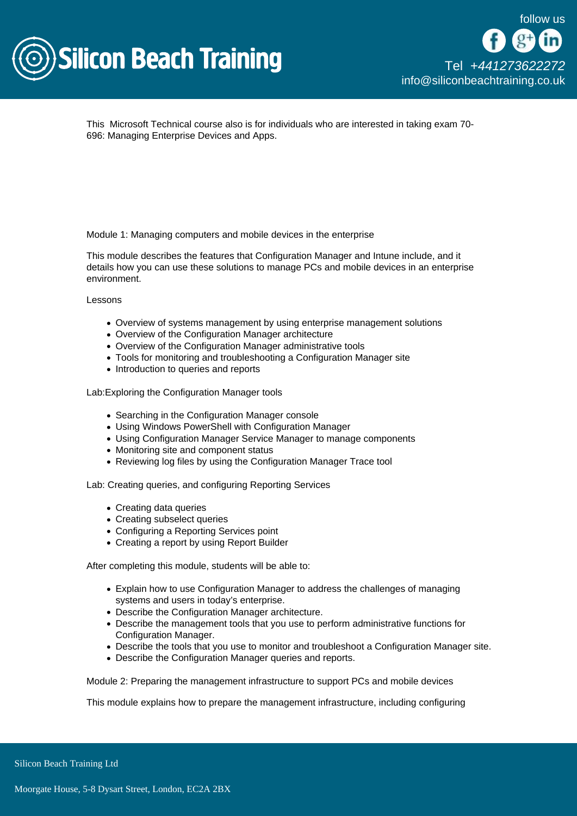

This Microsoft Technical course also is for individuals who are interested in taking exam 70- 696: Managing Enterprise Devices and Apps.

Module 1: Managing computers and mobile devices in the enterprise

This module describes the features that Configuration Manager and Intune include, and it details how you can use these solutions to manage PCs and mobile devices in an enterprise environment.

Lessons

- Overview of systems management by using enterprise management solutions
- Overview of the Configuration Manager architecture
- Overview of the Configuration Manager administrative tools
- Tools for monitoring and troubleshooting a Configuration Manager site
- Introduction to queries and reports

Lab:Exploring the Configuration Manager tools

- Searching in the Configuration Manager console
- Using Windows PowerShell with Configuration Manager
- Using Configuration Manager Service Manager to manage components
- Monitoring site and component status
- Reviewing log files by using the Configuration Manager Trace tool

Lab: Creating queries, and configuring Reporting Services

- Creating data queries
- Creating subselect queries
- Configuring a Reporting Services point
- Creating a report by using Report Builder

After completing this module, students will be able to:

- Explain how to use Configuration Manager to address the challenges of managing systems and users in today's enterprise.
- Describe the Configuration Manager architecture.
- Describe the management tools that you use to perform administrative functions for Configuration Manager.
- Describe the tools that you use to monitor and troubleshoot a Configuration Manager site.
- Describe the Configuration Manager queries and reports.

Module 2: Preparing the management infrastructure to support PCs and mobile devices

This module explains how to prepare the management infrastructure, including configuring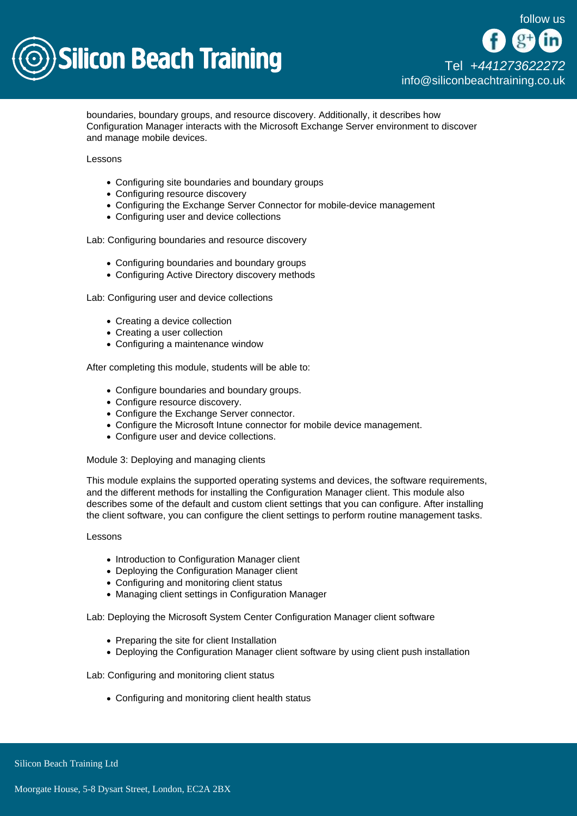

boundaries, boundary groups, and resource discovery. Additionally, it describes how Configuration Manager interacts with the Microsoft Exchange Server environment to discover and manage mobile devices.

Lessons

- Configuring site boundaries and boundary groups
- Configuring resource discovery
- Configuring the Exchange Server Connector for mobile-device management
- Configuring user and device collections

Lab: Configuring boundaries and resource discovery

- Configuring boundaries and boundary groups
- Configuring Active Directory discovery methods

Lab: Configuring user and device collections

- Creating a device collection
- Creating a user collection
- Configuring a maintenance window

After completing this module, students will be able to:

- Configure boundaries and boundary groups.
- Configure resource discovery.
- Configure the Exchange Server connector.
- Configure the Microsoft Intune connector for mobile device management.
- Configure user and device collections.

Module 3: Deploying and managing clients

This module explains the supported operating systems and devices, the software requirements, and the different methods for installing the Configuration Manager client. This module also describes some of the default and custom client settings that you can configure. After installing the client software, you can configure the client settings to perform routine management tasks.

### Lessons

- Introduction to Configuration Manager client
- Deploving the Configuration Manager client
- Configuring and monitoring client status
- Managing client settings in Configuration Manager

Lab: Deploying the Microsoft System Center Configuration Manager client software

- Preparing the site for client Installation
- Deploying the Configuration Manager client software by using client push installation

Lab: Configuring and monitoring client status

• Configuring and monitoring client health status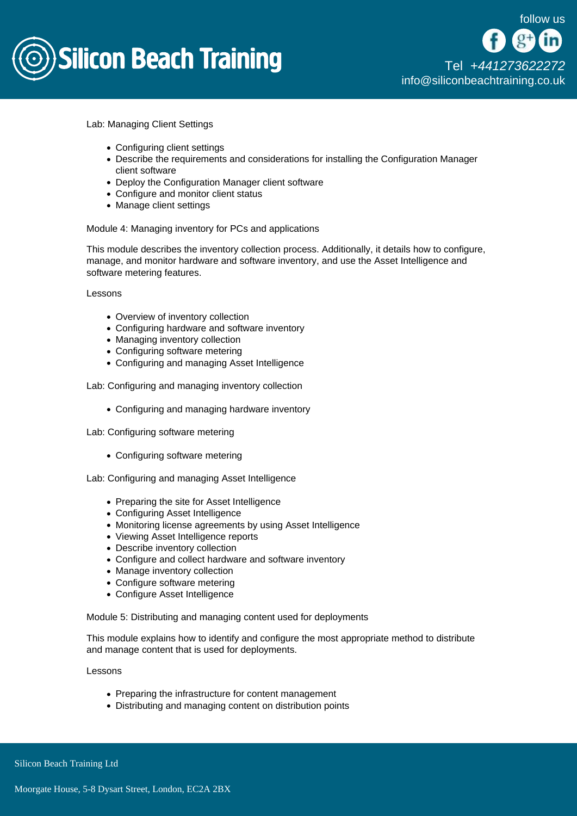

[Tel +44](tel:+441273622272)1273622272 [info@siliconbeachtraining.co.uk](/var/www/html/siliconbeachtraining.co.uk/public/mailTo:info@siliconbeachtraining.co.uk)

Lab: Managing Client Settings

- Configuring client settings
- Describe the requirements and considerations for installing the Configuration Manager client software
- Deploy the Configuration Manager client software
- Configure and monitor client status
- Manage client settings

### Module 4: Managing inventory for PCs and applications

This module describes the inventory collection process. Additionally, it details how to configure, manage, and monitor hardware and software inventory, and use the Asset Intelligence and software metering features.

Lessons

- Overview of inventory collection
- Configuring hardware and software inventory
- Managing inventory collection
- Configuring software metering
- Configuring and managing Asset Intelligence

Lab: Configuring and managing inventory collection

Configuring and managing hardware inventory

Lab: Configuring software metering

Configuring software metering

Lab: Configuring and managing Asset Intelligence

- Preparing the site for Asset Intelligence
- Configuring Asset Intelligence
- Monitoring license agreements by using Asset Intelligence
- Viewing Asset Intelligence reports
- Describe inventory collection
- Configure and collect hardware and software inventory
- Manage inventory collection
- Configure software metering
- Configure Asset Intelligence

Module 5: Distributing and managing content used for deployments

This module explains how to identify and configure the most appropriate method to distribute and manage content that is used for deployments.

Lessons

- Preparing the infrastructure for content management
- Distributing and managing content on distribution points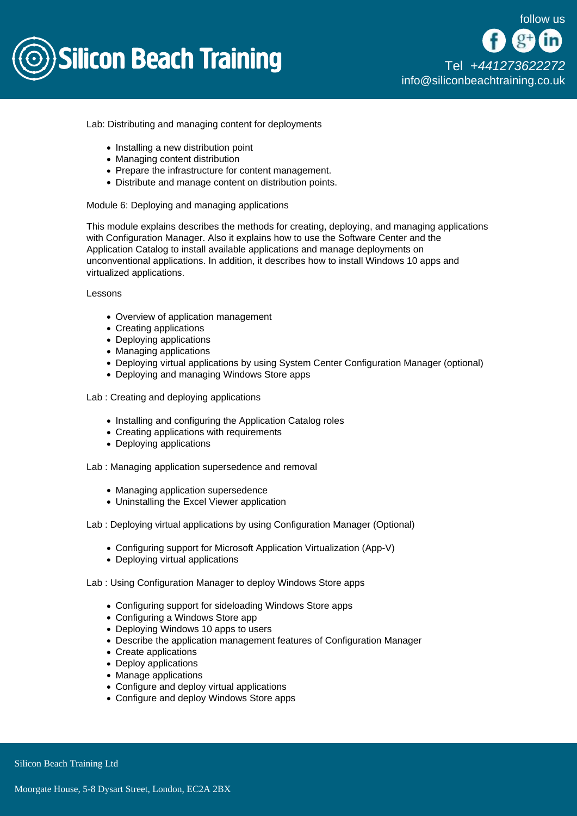

Lab: Distributing and managing content for deployments

- $\bullet$  Installing a new distribution point
- Managing content distribution
- Prepare the infrastructure for content management.
- Distribute and manage content on distribution points.

#### Module 6: Deploying and managing applications

This module explains describes the methods for creating, deploying, and managing applications with Configuration Manager. Also it explains how to use the Software Center and the Application Catalog to install available applications and manage deployments on unconventional applications. In addition, it describes how to install Windows 10 apps and virtualized applications.

Lessons

- Overview of application management
- Creating applications
- Deploying applications
- Managing applications
- Deploying virtual applications by using System Center Configuration Manager (optional)
- Deploying and managing Windows Store apps

Lab : Creating and deploying applications

- Installing and configuring the Application Catalog roles
- Creating applications with requirements
- Deploving applications

Lab : Managing application supersedence and removal

- Managing application supersedence
- Uninstalling the Excel Viewer application
- Lab : Deploying virtual applications by using Configuration Manager (Optional)
	- Configuring support for Microsoft Application Virtualization (App-V)
	- Deploying virtual applications

Lab : Using Configuration Manager to deploy Windows Store apps

- Configuring support for sideloading Windows Store apps
- Configuring a Windows Store app
- Deploying Windows 10 apps to users
- Describe the application management features of Configuration Manager
- Create applications
- Deploy applications
- Manage applications
- Configure and deploy virtual applications
- Configure and deploy Windows Store apps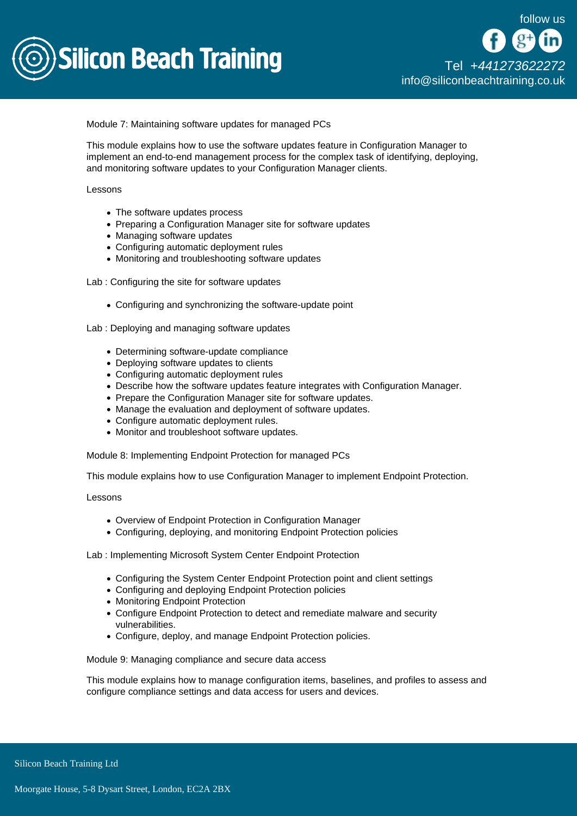

Module 7: Maintaining software updates for managed PCs

This module explains how to use the software updates feature in Configuration Manager to implement an end-to-end management process for the complex task of identifying, deploying, and monitoring software updates to your Configuration Manager clients.

Lessons

- The software updates process
- Preparing a Configuration Manager site for software updates
- Managing software updates
- Configuring automatic deployment rules
- Monitoring and troubleshooting software updates

Lab : Configuring the site for software updates

• Configuring and synchronizing the software-update point

Lab : Deploying and managing software updates

- Determining software-update compliance
- Deploying software updates to clients
- Configuring automatic deployment rules
- Describe how the software updates feature integrates with Configuration Manager.
- Prepare the Configuration Manager site for software updates.
- Manage the evaluation and deployment of software updates.
- Configure automatic deployment rules.
- Monitor and troubleshoot software updates.

Module 8: Implementing Endpoint Protection for managed PCs

This module explains how to use Configuration Manager to implement Endpoint Protection.

Lessons

- Overview of Endpoint Protection in Configuration Manager
- Configuring, deploying, and monitoring Endpoint Protection policies

Lab : Implementing Microsoft System Center Endpoint Protection

- Configuring the System Center Endpoint Protection point and client settings
- Configuring and deploving Endpoint Protection policies
- Monitoring Endpoint Protection
- Configure Endpoint Protection to detect and remediate malware and security vulnerabilities.
- Configure, deploy, and manage Endpoint Protection policies.

Module 9: Managing compliance and secure data access

This module explains how to manage configuration items, baselines, and profiles to assess and configure compliance settings and data access for users and devices.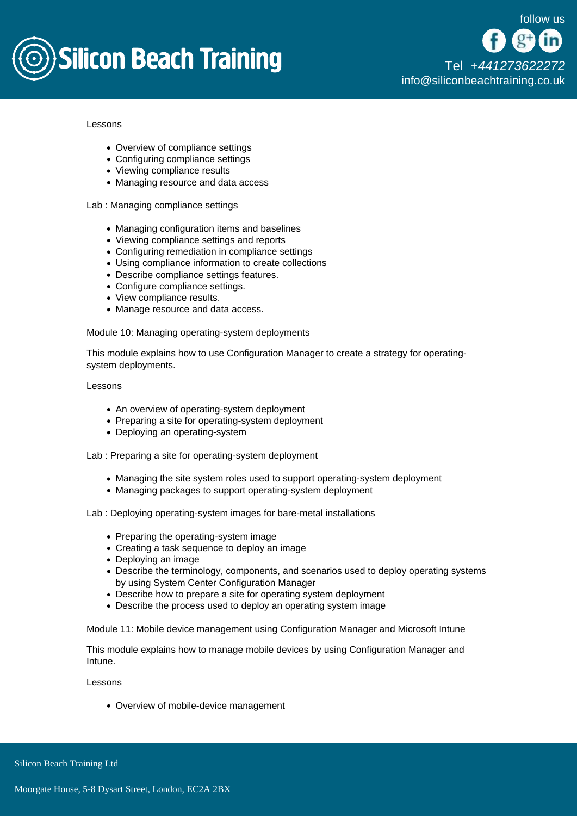

Lessons

- Overview of compliance settings
- Configuring compliance settings
- Viewing compliance results
- Managing resource and data access

Lab : Managing compliance settings

- Managing configuration items and baselines
- Viewing compliance settings and reports
- Configuring remediation in compliance settings
- Using compliance information to create collections
- Describe compliance settings features.
- Configure compliance settings.
- View compliance results.
- Manage resource and data access.

Module 10: Managing operating-system deployments

This module explains how to use Configuration Manager to create a strategy for operatingsystem deployments.

Lessons

- An overview of operating-system deployment
- Preparing a site for operating-system deployment
- Deploving an operating-system

Lab : Preparing a site for operating-system deployment

- Managing the site system roles used to support operating-system deployment
- Managing packages to support operating-system deployment

Lab : Deploying operating-system images for bare-metal installations

- Preparing the operating-system image
- Creating a task sequence to deploy an image
- Deploying an image
- Describe the terminology, components, and scenarios used to deploy operating systems by using System Center Configuration Manager
- Describe how to prepare a site for operating system deployment
- Describe the process used to deploy an operating system image

Module 11: Mobile device management using Configuration Manager and Microsoft Intune

This module explains how to manage mobile devices by using Configuration Manager and Intune.

Lessons

Overview of mobile-device management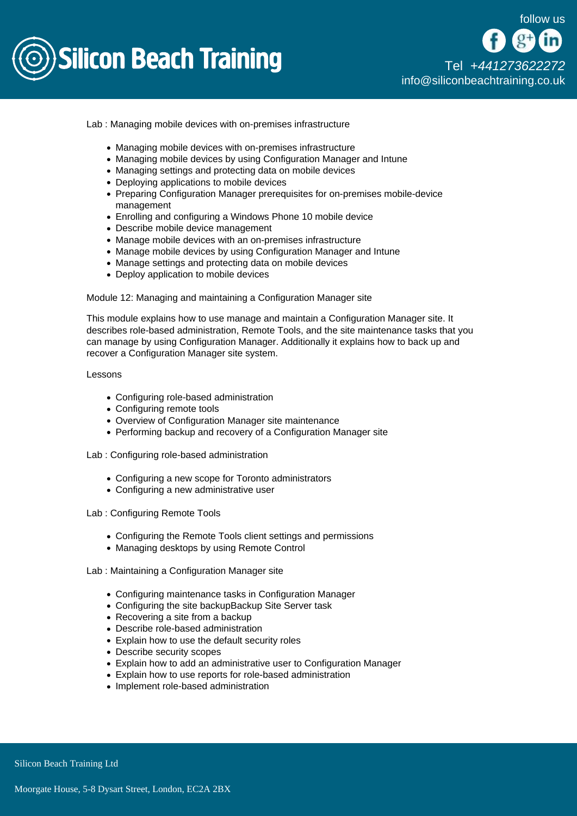

Lab : Managing mobile devices with on-premises infrastructure

- Managing mobile devices with on-premises infrastructure
- Managing mobile devices by using Configuration Manager and Intune
- Managing settings and protecting data on mobile devices
- Deploying applications to mobile devices
- Preparing Configuration Manager prerequisites for on-premises mobile-device management
- Enrolling and configuring a Windows Phone 10 mobile device
- Describe mobile device management
- Manage mobile devices with an on-premises infrastructure
- Manage mobile devices by using Configuration Manager and Intune
- Manage settings and protecting data on mobile devices
- Deploy application to mobile devices

Module 12: Managing and maintaining a Configuration Manager site

This module explains how to use manage and maintain a Configuration Manager site. It describes role-based administration, Remote Tools, and the site maintenance tasks that you can manage by using Configuration Manager. Additionally it explains how to back up and recover a Configuration Manager site system.

Lessons

- Configuring role-based administration
- Configuring remote tools
- Overview of Configuration Manager site maintenance
- Performing backup and recovery of a Configuration Manager site

Lab : Configuring role-based administration

- Configuring a new scope for Toronto administrators
- Configuring a new administrative user

Lab : Configuring Remote Tools

- Configuring the Remote Tools client settings and permissions
- Managing desktops by using Remote Control

Lab : Maintaining a Configuration Manager site

- Configuring maintenance tasks in Configuration Manager
- Configuring the site backupBackup Site Server task
- Recovering a site from a backup
- Describe role-based administration
- Explain how to use the default security roles
- Describe security scopes
- Explain how to add an administrative user to Configuration Manager
- Explain how to use reports for role-based administration
- Implement role-based administration